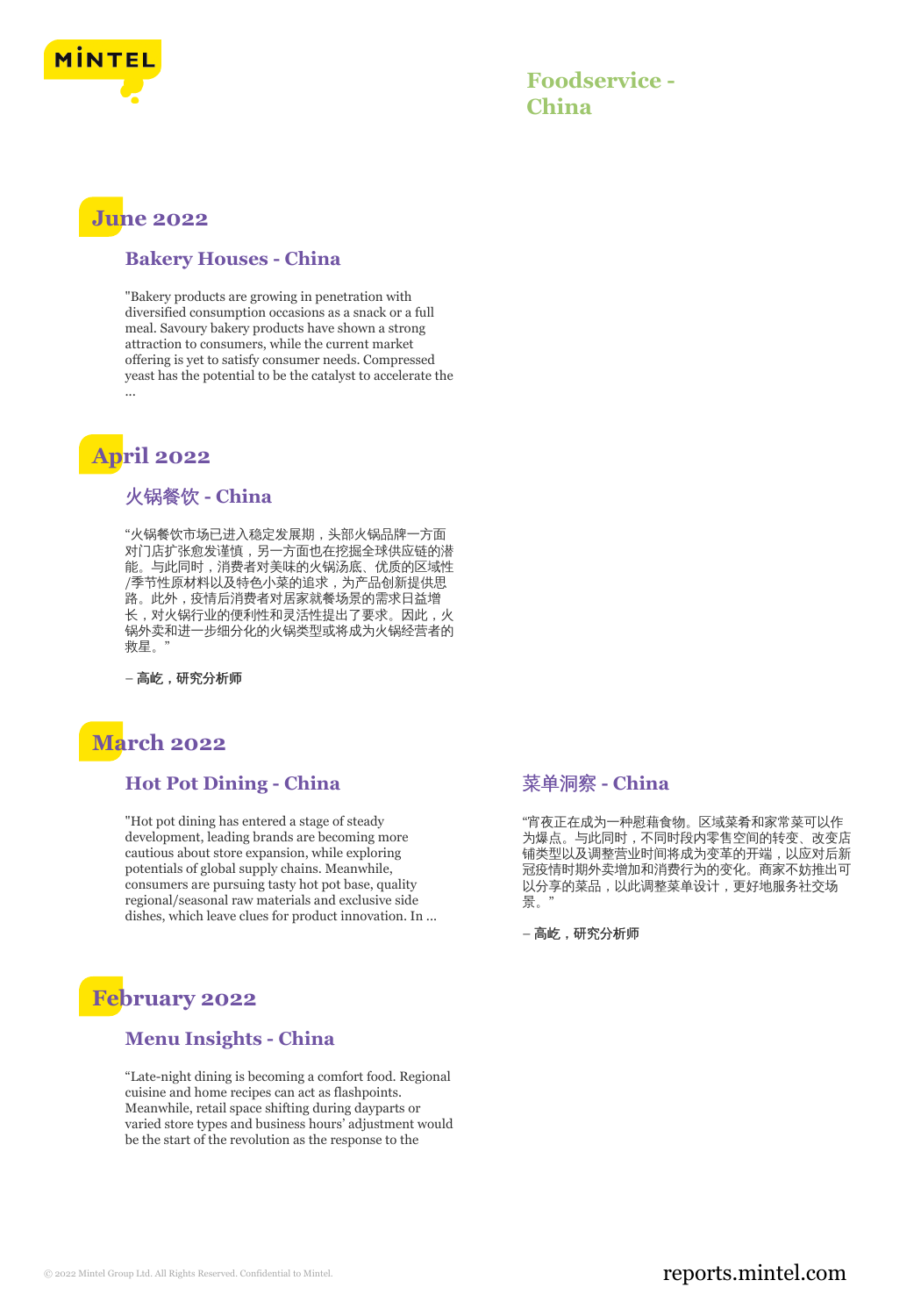

## **June 2022**

#### **Bakery Houses - China**

"Bakery products are growing in penetration with diversified consumption occasions as a snack or a full meal. Savoury bakery products have shown a strong attraction to consumers, while the current market offering is yet to satisfy consumer needs. Compressed yeast has the potential to be the catalyst to accelerate the ...

### **April 2022**

#### 火锅餐饮 **- China**

"火锅餐饮市场已进入稳定发展期,头部火锅品牌一方面 对门店扩张愈发谨慎,另一方面也在挖掘全球供应链的潜 能。与此同时,消费者对美味的火锅汤底、优质的区域性 /季节性原材料以及特色小菜的追求,为产品创新提供思 路。此外,疫情后消费者对居家就餐场景的需求日益增 长,对火锅行业的便利性和灵活性提出了要求。因此,火 锅外卖和进一步细分化的火锅类型或将成为火锅经营者的 救星。"

– 高屹,研究分析师

### **March 2022**

#### **Hot Pot Dining - China**

"Hot pot dining has entered a stage of steady development, leading brands are becoming more cautious about store expansion, while exploring potentials of global supply chains. Meanwhile, consumers are pursuing tasty hot pot base, quality regional/seasonal raw materials and exclusive side dishes, which leave clues for product innovation. In ...

### **February 2022**

#### **Menu Insights - China**

"Late-night dining is becoming a comfort food. Regional cuisine and home recipes can act as flashpoints. Meanwhile, retail space shifting during dayparts or varied store types and business hours' adjustment would be the start of the revolution as the response to the

#### 菜单洞察 **- China**

"宵夜正在成为一种慰藉食物。区域菜肴和家常菜可以作 为爆点。与此同时,不同时段内零售空间的转变、改变店 铺类型以及调整营业时间将成为变革的开端,以应对后新 冠疫情时期外卖增加和消费行为的变化。商家不妨推出可 以分享的菜品,以此调整菜单设计,更好地服务社交场 景。"

– 高屹,研究分析师